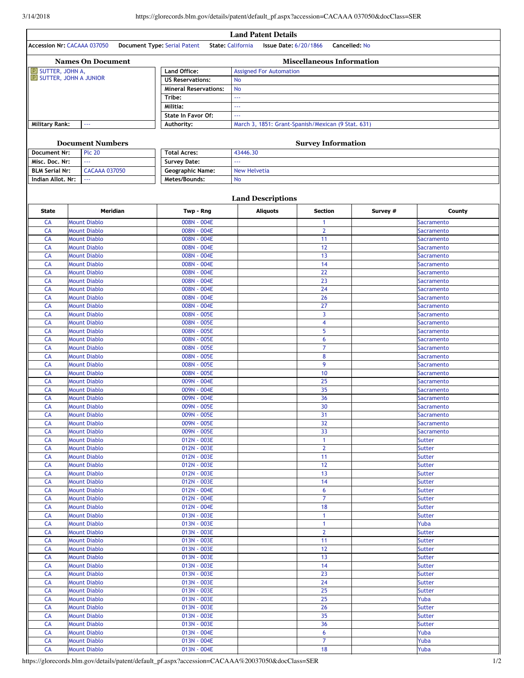3/14/2018 https://glorecords.blm.gov/details/patent/default\_pf.aspx?accession=CACAAA 037050&docClass=SER

| <b>Land Patent Details</b><br>Accession Nr: CACAAA 037050<br>Document Type: Serial Patent<br><b>Issue Date: 6/20/1866</b><br>Cancelled: No<br><b>State: California</b> |                                            |                              |                                                    |                         |          |                                |  |  |  |
|------------------------------------------------------------------------------------------------------------------------------------------------------------------------|--------------------------------------------|------------------------------|----------------------------------------------------|-------------------------|----------|--------------------------------|--|--|--|
| <b>Miscellaneous Information</b><br><b>Names On Document</b>                                                                                                           |                                            |                              |                                                    |                         |          |                                |  |  |  |
| <b>P SUTTER, JOHN A,</b>                                                                                                                                               |                                            | Land Office:                 | <b>Assigned For Automation</b>                     |                         |          |                                |  |  |  |
|                                                                                                                                                                        | E SUTTER, JOHN A JUNIOR                    | <b>US Reservations:</b>      | <b>No</b>                                          |                         |          |                                |  |  |  |
|                                                                                                                                                                        |                                            | <b>Mineral Reservations:</b> | <b>No</b>                                          |                         |          |                                |  |  |  |
|                                                                                                                                                                        |                                            | Tribe:                       | $\bar{\omega}$ .                                   |                         |          |                                |  |  |  |
|                                                                                                                                                                        |                                            | Militia:                     | LL.                                                |                         |          |                                |  |  |  |
|                                                                                                                                                                        |                                            | State In Favor Of:           | $\omega\omega\omega$                               |                         |          |                                |  |  |  |
| <b>Military Rank:</b>                                                                                                                                                  | 444                                        | Authority:                   | March 3, 1851: Grant-Spanish/Mexican (9 Stat. 631) |                         |          |                                |  |  |  |
|                                                                                                                                                                        |                                            |                              |                                                    |                         |          |                                |  |  |  |
| <b>Survey Information</b><br><b>Document Numbers</b>                                                                                                                   |                                            |                              |                                                    |                         |          |                                |  |  |  |
| Document Nr:                                                                                                                                                           | <b>Plc 20</b>                              | <b>Total Acres:</b>          | 43446.30                                           |                         |          |                                |  |  |  |
| Misc. Doc. Nr:                                                                                                                                                         | $\overline{\phantom{a}}$                   | <b>Survey Date:</b>          | $\sim$                                             |                         |          |                                |  |  |  |
| <b>BLM Serial Nr:</b>                                                                                                                                                  | <b>CACAAA 037050</b>                       | <b>Geographic Name:</b>      | <b>New Helvetia</b>                                |                         |          |                                |  |  |  |
| Indian Allot, Nr:                                                                                                                                                      | $\omega\omega\omega$                       | Metes/Bounds:                | <b>No</b>                                          |                         |          |                                |  |  |  |
|                                                                                                                                                                        |                                            |                              |                                                    |                         |          |                                |  |  |  |
|                                                                                                                                                                        |                                            |                              |                                                    |                         |          |                                |  |  |  |
| <b>Land Descriptions</b><br><b>State</b><br><b>Meridian</b><br><b>Section</b><br>County                                                                                |                                            |                              |                                                    |                         |          |                                |  |  |  |
| CA                                                                                                                                                                     | <b>Mount Diablo</b>                        | Twp - Rng<br>008N - 004E     | <b>Aliquots</b>                                    | 1                       | Survey # | <b>Sacramento</b>              |  |  |  |
| CA                                                                                                                                                                     | <b>Mount Diablo</b>                        | $008N - 004E$                |                                                    | $\overline{2}$          |          | <b>Sacramento</b>              |  |  |  |
| CA                                                                                                                                                                     | <b>Mount Diablo</b>                        | 008N - 004E                  |                                                    | 11                      |          | <b>Sacramento</b>              |  |  |  |
| CA                                                                                                                                                                     | <b>Mount Diablo</b>                        | 008N - 004E                  |                                                    | 12                      |          | <b>Sacramento</b>              |  |  |  |
| CA                                                                                                                                                                     | <b>Mount Diablo</b>                        | 008N - 004E                  |                                                    | 13                      |          | <b>Sacramento</b>              |  |  |  |
| CA                                                                                                                                                                     | <b>Mount Diablo</b>                        | 008N - 004E                  |                                                    | 14                      |          | <b>Sacramento</b>              |  |  |  |
| CA                                                                                                                                                                     | <b>Mount Diablo</b>                        | 008N - 004E                  |                                                    | 22                      |          | Sacramento                     |  |  |  |
| CA                                                                                                                                                                     | <b>Mount Diablo</b>                        | 008N - 004E                  |                                                    | 23                      |          | <b>Sacramento</b>              |  |  |  |
| CA                                                                                                                                                                     | <b>Mount Diablo</b>                        | 008N - 004E                  |                                                    | 24                      |          | Sacramento                     |  |  |  |
| CA                                                                                                                                                                     | <b>Mount Diablo</b>                        | 008N - 004E                  |                                                    | 26                      |          | <b>Sacramento</b>              |  |  |  |
| CA                                                                                                                                                                     | <b>Mount Diablo</b>                        | 008N - 004E                  |                                                    | 27                      |          | <b>Sacramento</b>              |  |  |  |
| CA                                                                                                                                                                     | <b>Mount Diablo</b>                        | 008N - 005E                  |                                                    | $\overline{3}$          |          | Sacramento                     |  |  |  |
| CA                                                                                                                                                                     | <b>Mount Diablo</b>                        | 008N - 005E                  |                                                    | $\overline{\mathbf{4}}$ |          | <b>Sacramento</b>              |  |  |  |
| CA                                                                                                                                                                     | <b>Mount Diablo</b>                        | 008N - 005E                  |                                                    | 5                       |          | Sacramento                     |  |  |  |
| CA                                                                                                                                                                     | <b>Mount Diablo</b>                        | 008N - 005E                  |                                                    | 6                       |          | <b>Sacramento</b>              |  |  |  |
| CA                                                                                                                                                                     | <b>Mount Diablo</b>                        | 008N - 005E                  |                                                    | $\overline{7}$          |          | Sacramento                     |  |  |  |
| <b>CA</b>                                                                                                                                                              | <b>Mount Diablo</b>                        | 008N - 005E                  |                                                    | 8                       |          | Sacramento                     |  |  |  |
| <b>CA</b>                                                                                                                                                              | <b>Mount Diablo</b>                        | 008N - 005E                  |                                                    | 9                       |          | Sacramento                     |  |  |  |
| <b>CA</b>                                                                                                                                                              | <b>Mount Diablo</b>                        | 008N - 005E                  |                                                    | 10                      |          | <b>Sacramento</b>              |  |  |  |
| CA                                                                                                                                                                     | <b>Mount Diablo</b>                        | 009N - 004E                  |                                                    | 25                      |          | Sacramento                     |  |  |  |
| CA                                                                                                                                                                     | <b>Mount Diablo</b>                        | $009N - 004E$                |                                                    | 35                      |          | <b>Sacramento</b>              |  |  |  |
| CA                                                                                                                                                                     | <b>Mount Diablo</b>                        | 009N - 004E                  |                                                    | 36                      |          | <b>Sacramento</b>              |  |  |  |
| CA                                                                                                                                                                     | <b>Mount Diablo</b>                        | 009N - 005E                  |                                                    | 30                      |          | Sacramento                     |  |  |  |
| CA                                                                                                                                                                     | <b>Mount Diablo</b>                        | 009N - 005E                  |                                                    | 31                      |          | Sacramento                     |  |  |  |
| <b>CA</b>                                                                                                                                                              | <b>Mount Diablo</b>                        | 009N - 005E                  |                                                    | 32                      |          | Sacramento                     |  |  |  |
| <b>CA</b><br><b>CA</b>                                                                                                                                                 | <b>Mount Diablo</b><br><b>Mount Diablo</b> | 009N - 005E<br>012N - 003E   |                                                    | 33<br>$\mathbf{1}$      |          | Sacramento                     |  |  |  |
| CA                                                                                                                                                                     | <b>Mount Diablo</b>                        | 012N - 003E                  |                                                    | $\mathbf{2}$            |          | Sutter<br><b>Sutter</b>        |  |  |  |
| CA                                                                                                                                                                     |                                            | 012N - 003E                  |                                                    | 11                      |          |                                |  |  |  |
| <b>CA</b>                                                                                                                                                              | <b>Mount Diablo</b><br><b>Mount Diablo</b> | 012N - 003E                  |                                                    | 12                      |          | <b>Sutter</b><br><b>Sutter</b> |  |  |  |
| CA                                                                                                                                                                     | <b>Mount Diablo</b>                        | 012N - 003E                  |                                                    | 13                      |          | <b>Sutter</b>                  |  |  |  |
| <b>CA</b>                                                                                                                                                              | <b>Mount Diablo</b>                        | 012N - 003E                  |                                                    | 14                      |          | <b>Sutter</b>                  |  |  |  |
| <b>CA</b>                                                                                                                                                              | <b>Mount Diablo</b>                        | 012N - 004E                  |                                                    | 6                       |          | <b>Sutter</b>                  |  |  |  |
| <b>CA</b>                                                                                                                                                              | <b>Mount Diablo</b>                        | 012N - 004E                  |                                                    | $\overline{7}$          |          | <b>Sutter</b>                  |  |  |  |
| CA                                                                                                                                                                     | <b>Mount Diablo</b>                        | 012N - 004E                  |                                                    | 18                      |          | <b>Sutter</b>                  |  |  |  |
| <b>CA</b>                                                                                                                                                              | <b>Mount Diablo</b>                        | 013N - 003E                  |                                                    | $\mathbf{1}$            |          | <b>Sutter</b>                  |  |  |  |
| <b>CA</b>                                                                                                                                                              | <b>Mount Diablo</b>                        | 013N - 003E                  |                                                    | $\mathbf{1}$            |          | Yuba                           |  |  |  |
| <b>CA</b>                                                                                                                                                              | <b>Mount Diablo</b>                        | 013N - 003E                  |                                                    | $\mathbf{2}$            |          | <b>Sutter</b>                  |  |  |  |
| CA                                                                                                                                                                     | <b>Mount Diablo</b>                        | 013N - 003E                  |                                                    | 11                      |          | <b>Sutter</b>                  |  |  |  |
| <b>CA</b>                                                                                                                                                              | <b>Mount Diablo</b>                        | 013N - 003E                  |                                                    | 12                      |          | <b>Sutter</b>                  |  |  |  |
| CA                                                                                                                                                                     | <b>Mount Diablo</b>                        | 013N - 003E                  |                                                    | 13                      |          | Sutter                         |  |  |  |
| <b>CA</b>                                                                                                                                                              | <b>Mount Diablo</b>                        | 013N - 003E                  |                                                    | 14                      |          | <b>Sutter</b>                  |  |  |  |
| CA                                                                                                                                                                     | <b>Mount Diablo</b>                        | 013N - 003E                  |                                                    | 23                      |          | <b>Sutter</b>                  |  |  |  |
| <b>CA</b>                                                                                                                                                              | <b>Mount Diablo</b>                        | 013N - 003E                  |                                                    | 24                      |          | <b>Sutter</b>                  |  |  |  |
| <b>CA</b>                                                                                                                                                              | <b>Mount Diablo</b>                        | 013N - 003E                  |                                                    | 25                      |          | <b>Sutter</b>                  |  |  |  |
| <b>CA</b>                                                                                                                                                              | <b>Mount Diablo</b>                        | 013N - 003E                  |                                                    | 25                      |          | Yuba                           |  |  |  |
| CA                                                                                                                                                                     | <b>Mount Diablo</b>                        | 013N - 003E                  |                                                    | 26                      |          | <b>Sutter</b>                  |  |  |  |
| <b>CA</b>                                                                                                                                                              | <b>Mount Diablo</b>                        | 013N - 003E                  |                                                    | 35                      |          | <b>Sutter</b>                  |  |  |  |
| <b>CA</b>                                                                                                                                                              | <b>Mount Diablo</b>                        | 013N - 003E                  |                                                    | 36                      |          | <b>Sutter</b>                  |  |  |  |
| <b>CA</b>                                                                                                                                                              | <b>Mount Diablo</b>                        | 013N - 004E                  |                                                    | 6                       |          | Yuba                           |  |  |  |
| CA                                                                                                                                                                     | <b>Mount Diablo</b>                        | 013N - 004E                  |                                                    | $\overline{7}$          |          | Yuba                           |  |  |  |
| CA                                                                                                                                                                     | <b>Mount Diablo</b>                        | 013N - 004E                  |                                                    | 18                      |          | Yuba                           |  |  |  |